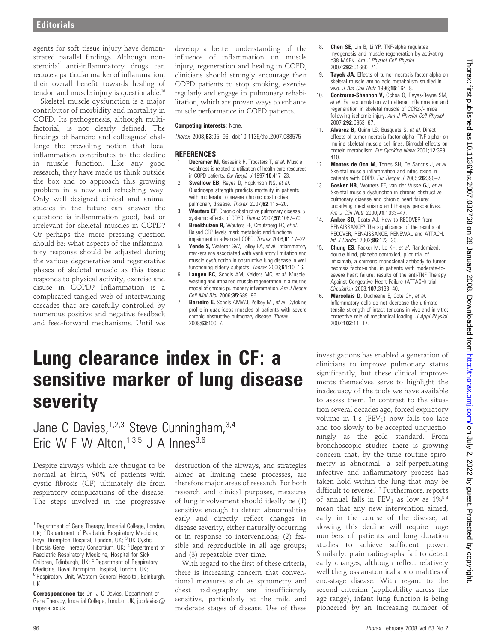agents for soft tissue injury have demonstrated parallel findings. Although nonsteroidal anti-inflammatory drugs can reduce a particular marker of inflammation, their overall benefit towards healing of tendon and muscle injury is questionable.<sup>16</sup>

Skeletal muscle dysfunction is a major contributor of morbidity and mortality in COPD. Its pathogenesis, although multifactorial, is not clearly defined. The findings of Barreiro and colleagues<sup>7</sup> challenge the prevailing notion that local inflammation contributes to the decline in muscle function. Like any good research, they have made us think outside the box and to approach this growing problem in a new and refreshing way. Only well designed clinical and animal studies in the future can answer the question: is inflammation good, bad or irrelevant for skeletal muscles in COPD? Or perhaps the more pressing question should be: what aspects of the inflammatory response should be adjusted during the various degenerative and regenerative phases of skeletal muscle as this tissue responds to physical activity, exercise and disuse in COPD? Inflammation is a complicated tangled web of intertwining cascades that are carefully controlled by numerous positive and negative feedback and feed-forward mechanisms. Until we

develop a better understanding of the influence of inflammation on muscle injury, regeneration and healing in COPD, clinicians should strongly encourage their COPD patients to stop smoking, exercise regularly and engage in pulmonary rehabilitation, which are proven ways to enhance muscle performance in COPD patients.

## Competing interests: None.

Thorax 2008;63:95–96. doi:10.1136/thx.2007.088575

## **REFERENCES**

- 1. **Decramer M,** Gosselink R, Troosters T, et al. Muscle weakness is related to utilization of health care resources in COPD patients. Eur Respir J 1997;10:417-23.
- 2. Swallow EB, Reyes D, Hopkinson NS, et al. Quadriceps strength predicts mortality in patients with moderate to severe chronic obstructive pulmonary disease. Thorax 2007;62:115–20.
- 3. Wouters EF. Chronic obstructive pulmonary disease. 5: systemic effects of COPD. Thorax 2002;57:1067–70.
- 4. Broekhuizen R, Wouters EF, Creutzberg EC, et al. Raised CRP levels mark metabolic and functional impairment in advanced COPD. Thorax 2006;61:17–22.
- 5. **Yende S, Waterer GW, Tolley EA, et al. Inflammatory** markers are associated with ventilatory limitation and muscle dysfunction in obstructive lung disease in well functioning elderly subjects. Thorax 2006;61:10–16.
- 6. Langen RC, Schols AM, Kelders MC, et al. Muscle wasting and impaired muscle regeneration in a murine model of chronic pulmonary inflammation. Am J Respir Cell Mol Biol 2006;35:689–96.
- 7. Barreiro E, Schols AMWJ, Polkey MI, et al. Cytokine profile in quadriceps muscles of patients with severe chronic obstructive pulmonary disease. Thorax 2008;63:100–7.
- Chen SE, Jin B, Li YP. TNF-alpha regulates myogenesis and muscle regeneration by activating p38 MAPK. Am J Physiol Cell Physiol 2007;292:C1660–71.
- 9. **Tayek JA.** Effects of tumor necrosis factor alpha on skeletal muscle amino acid metabolism studied invivo. J Am Coll Nutr 1996;15:164-8.
- 10. Contreras-Shannon V, Ochoa O, Reyes-Reyna SM, et al. Fat accumulation with altered inflammation and regeneration in skeletal muscle of CCR2-/- mice following ischemic injury. Am J Physiol Cell Physiol 2007;292:C953–67.
- 11. **Alvarez B, Quinn LS, Busquets S, et al. Direct** effects of tumor necrosis factor alpha (TNF-alpha) on murine skeletal muscle cell lines. Bimodal effects on protein metabolism. Eur Cytokine Netw 2001;12:399– 410.
- 12. Montes de Oca M, Torres SH, De Sanctis J, et al. Skeletal muscle inflammation and nitric oxide in patients with COPD. Eur Respir J 2005;26:390-7.
- 13. Gosker HR, Wouters EF, van der Vusse GJ, et al. Skeletal muscle dysfunction in chronic obstructive pulmonary disease and chronic heart failure: underlying mechanisms and therapy perspectives. Am J Clin Nutr 2000:71:1033-47.
- 14. **Anker SD, Coats AJ. How to RECOVER from** RENAISSANCE? The significance of the results of RECOVER, RENAISSANCE, RENEWAL and ATTACH. Int J Cardiol 2002;86:123–30.
- 15. Chung ES, Packer M, Lo KH, et al. Randomized, double-blind, placebo-controlled, pilot trial of infliximab, a chimeric monoclonal antibody to tumor necrosis factor-alpha, in patients with moderate-tosevere heart failure: results of the anti-TNF Therapy Against Congestive Heart Failure (ATTACH) trial. Circulation 2003;107:3133–40.
- 16. Marsolais D, Duchesne F, Cote CH, et al. Inflammatory cells do not decrease the ultimate tensile strength of intact tendons in vivo and in vitro: protective role of mechanical loading. J Appl Physiol 2007;102:11–17.

## Lung clearance index in CF: a sensitive marker of lung disease severity

Jane C Davies,<sup>1,2,3</sup> Steve Cunningham,<sup>3,4</sup> Eric W F W Alton,  $1,3,5$  J A Innes  $3,6$ 

Despite airways which are thought to be normal at birth, 90% of patients with cystic fibrosis (CF) ultimately die from respiratory complications of the disease. The steps involved in the progressive destruction of the airways, and strategies aimed at limiting these processes, are therefore major areas of research. For both research and clinical purposes, measures of lung involvement should ideally be (1) sensitive enough to detect abnormalities early and directly reflect changes in disease severity, either naturally occurring or in response to interventions; (2) feasible and reproducible in all age groups; and (3) repeatable over time.

With regard to the first of these criteria, there is increasing concern that conventional measures such as spirometry and chest radiography are insufficiently sensitive, particularly at the mild and moderate stages of disease. Use of these investigations has enabled a generation of clinicians to improve pulmonary status significantly, but these clinical improvements themselves serve to highlight the inadequacy of the tools we have available to assess them. In contrast to the situation several decades ago, forced expiratory volume in 1 s ( $FEV<sub>1</sub>$ ) now falls too late and too slowly to be accepted unquestioningly as the gold standard. From bronchoscopic studies there is growing concern that, by the time routine spirometry is abnormal, a self-perpetuating infective and inflammatory process has taken hold within the lung that may be difficult to reverse.<sup>12</sup> Furthermore, reports of annual falls in  $FEV_1$  as low as  $1\%^{3/4}$ mean that any new intervention aimed, early in the course of the disease, at slowing this decline will require huge numbers of patients and long duration studies to achieve sufficient power. Similarly, plain radiographs fail to detect early changes, although reflect relatively well the gross anatomical abnormalities of end-stage disease. With regard to the second criterion (applicability across the age range), infant lung function is being pioneered by an increasing number of

<sup>&</sup>lt;sup>1</sup> Department of Gene Therapy, Imperial College, London, UK; <sup>2</sup> Department of Paediatric Respiratory Medicine, Royal Brompton Hospital, London, UK; <sup>3</sup> UK Cystic Fibrosis Gene Therapy Consortium, UK; <sup>4</sup> Department of Paediatric Respiratory Medicine, Hospital for Sick Children, Edinburgh, UK; <sup>5</sup> Department of Respiratory Medicine, Royal Brompton Hospital, London, UK; <sup>6</sup> Respiratory Unit, Western General Hospital, Edinburgh, UK

Correspondence to: Dr J C Davies, Department of Gene Therapy, Imperial College, London, UK; j.c.davies@ imperial.ac.uk